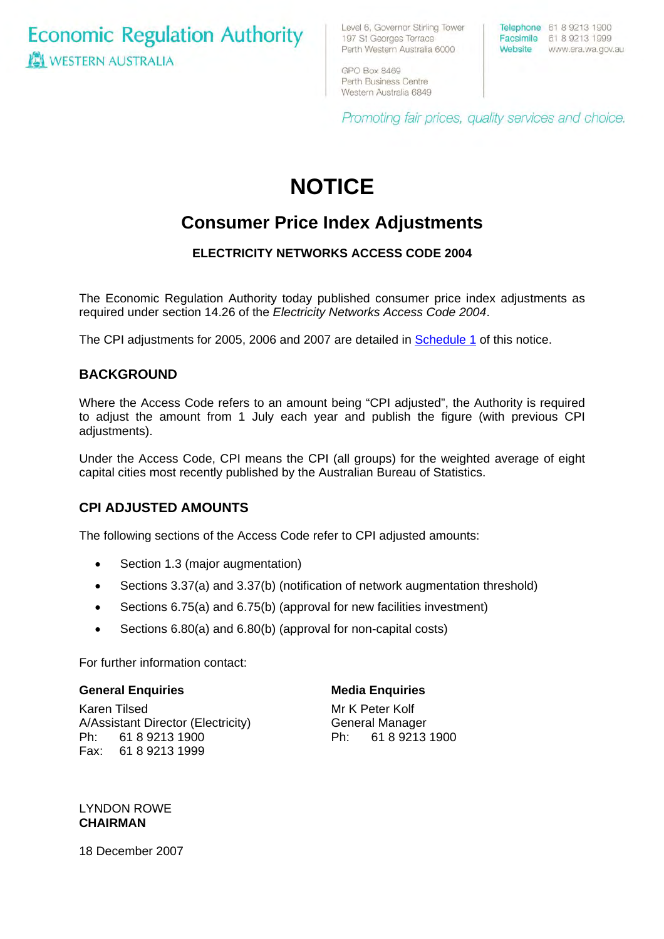**Economic Regulation Authority ICI WESTERN AUSTRALIA** 

Level 6, Governor Stirling Tower 197 St Georges Terrace Perth Western Australia 6000

Telephone 61 8 9213 1900 Facsimile 61 8 9213 1999 Website www.era.wa.gov.au

GPO Box 8469 Perth Business Centre Western Australia 6849

Promoting fair prices, quality services and choice.

# **NOTICE**

# **Consumer Price Index Adjustments**

# **ELECTRICITY NETWORKS ACCESS CODE 2004**

The Economic Regulation Authority today published consumer price index adjustments as required under section 14.26 of the *Electricity Networks Access Code 2004*.

The CPI adjustments for 2005, 2006 and 2007 are detailed in [Schedule 1](#page-1-0) of this notice.

## **BACKGROUND**

Where the Access Code refers to an amount being "CPI adjusted", the Authority is required to adjust the amount from 1 July each year and publish the figure (with previous CPI adjustments).

Under the Access Code, CPI means the CPI (all groups) for the weighted average of eight capital cities most recently published by the Australian Bureau of Statistics.

# **CPI ADJUSTED AMOUNTS**

The following sections of the Access Code refer to CPI adjusted amounts:

- Section 1.3 (major augmentation)
- Sections 3.37(a) and 3.37(b) (notification of network augmentation threshold)
- Sections 6.75(a) and 6.75(b) (approval for new facilities investment)
- Sections 6.80(a) and 6.80(b) (approval for non-capital costs)

For further information contact:

#### **General Enquiries**

Karen Tilsed A/Assistant Director (Electricity) Ph: 61 8 9213 1900 Fax: 61 8 9213 1999

#### **Media Enquiries**

Mr K Peter Kolf General Manager Ph: 61 8 9213 1900

LYNDON ROWE **CHAIRMAN** 

18 December 2007